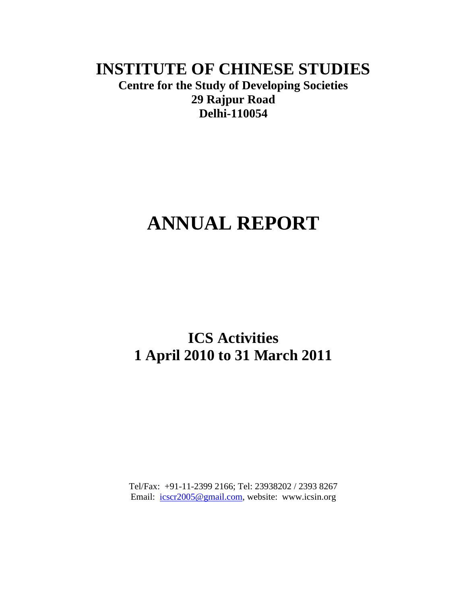# **INSTITUTE OF CHINESE STUDIES Centre for the Study of Developing Societies 29 Rajpur Road Delhi-110054**

# **ANNUAL REPORT**

# **ICS Activities 1 April 2010 to 31 March 2011**

Tel/Fax: +91-11-2399 2166; Tel: 23938202 / 2393 8267 Email:  $\frac{\text{icscr2005@gmail.com}}{\text{icscr2005@gmail.com}}$ , website: www.icsin.org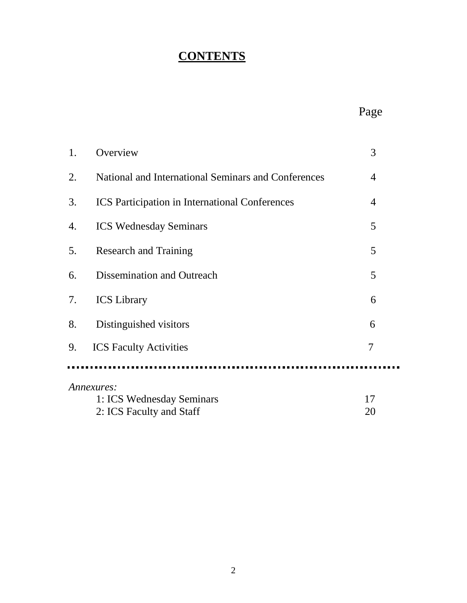# **CONTENTS**

| 1.         | Overview                                              | 3              |  |
|------------|-------------------------------------------------------|----------------|--|
| 2.         | National and International Seminars and Conferences   | $\overline{4}$ |  |
| 3.         | <b>ICS</b> Participation in International Conferences | $\overline{4}$ |  |
| 4.         | <b>ICS Wednesday Seminars</b>                         | 5              |  |
| 5.         | <b>Research and Training</b>                          | 5              |  |
| 6.         | Dissemination and Outreach                            | 5              |  |
| 7.         | <b>ICS</b> Library                                    | 6              |  |
| 8.         | Distinguished visitors                                | 6              |  |
| 9.         | <b>ICS</b> Faculty Activities                         | 7              |  |
|            |                                                       |                |  |
| Annexures: |                                                       |                |  |
|            | 1: ICS Wednesday Seminars                             | 17             |  |
|            | 2: ICS Faculty and Staff                              | 20             |  |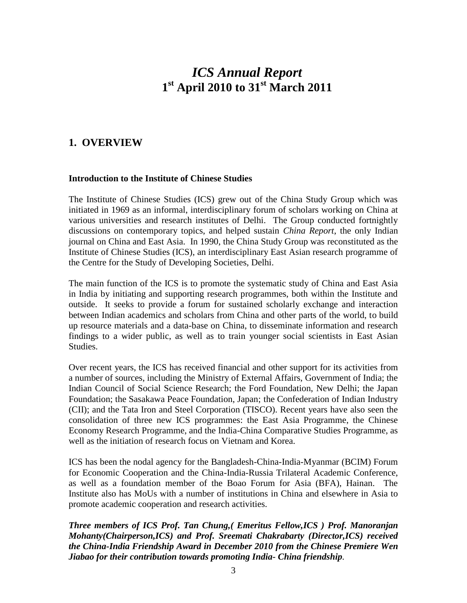# *ICS Annual Report* **1 st April 2010 to 31st March 2011**

#### **1. OVERVIEW**

#### **Introduction to the Institute of Chinese Studies**

The Institute of Chinese Studies (ICS) grew out of the China Study Group which was initiated in 1969 as an informal, interdisciplinary forum of scholars working on China at various universities and research institutes of Delhi. The Group conducted fortnightly discussions on contemporary topics, and helped sustain *China Report*, the only Indian journal on China and East Asia. In 1990, the China Study Group was reconstituted as the Institute of Chinese Studies (ICS), an interdisciplinary East Asian research programme of the Centre for the Study of Developing Societies, Delhi.

The main function of the ICS is to promote the systematic study of China and East Asia in India by initiating and supporting research programmes, both within the Institute and outside. It seeks to provide a forum for sustained scholarly exchange and interaction between Indian academics and scholars from China and other parts of the world, to build up resource materials and a data-base on China, to disseminate information and research findings to a wider public, as well as to train younger social scientists in East Asian Studies.

Over recent years, the ICS has received financial and other support for its activities from a number of sources, including the Ministry of External Affairs, Government of India; the Indian Council of Social Science Research; the Ford Foundation, New Delhi; the Japan Foundation; the Sasakawa Peace Foundation, Japan; the Confederation of Indian Industry (CII); and the Tata Iron and Steel Corporation (TISCO). Recent years have also seen the consolidation of three new ICS programmes: the East Asia Programme, the Chinese Economy Research Programme, and the India-China Comparative Studies Programme, as well as the initiation of research focus on Vietnam and Korea.

ICS has been the nodal agency for the Bangladesh-China-India-Myanmar (BCIM) Forum for Economic Cooperation and the China-India-Russia Trilateral Academic Conference, as well as a foundation member of the Boao Forum for Asia (BFA), Hainan. The Institute also has MoUs with a number of institutions in China and elsewhere in Asia to promote academic cooperation and research activities.

*Three members of ICS Prof. Tan Chung,( Emeritus Fellow,ICS ) Prof. Manoranjan Mohanty(Chairperson,ICS) and Prof. Sreemati Chakrabarty (Director,ICS) received the China-India Friendship Award in December 2010 from the Chinese Premiere Wen Jiabao for their contribution towards promoting India- China friendship.*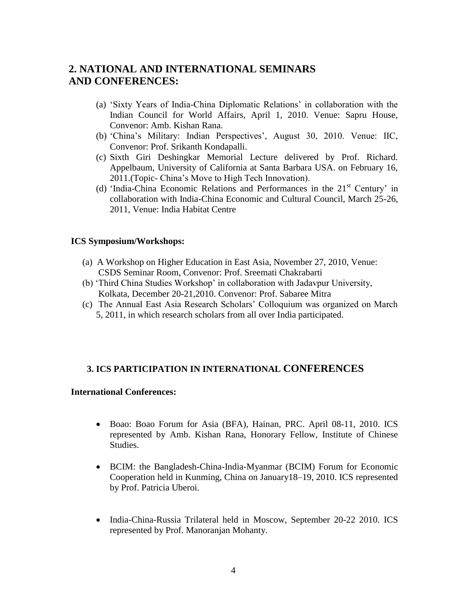### **2. NATIONAL AND INTERNATIONAL SEMINARS AND CONFERENCES:**

- (a) "Sixty Years of India-China Diplomatic Relations" in collaboration with the Indian Council for World Affairs, April 1, 2010. Venue: Sapru House, Convenor: Amb. Kishan Rana.
- (b) 'China's Military: Indian Perspectives', August 30, 2010. Venue: IIC, Convenor: Prof. Srikanth Kondapalli.
- (c) Sixth Giri Deshingkar Memorial Lecture delivered by Prof. Richard. Appelbaum, University of California at Santa Barbara USA. on February 16, 2011.(Topic- China"s Move to High Tech Innovation).
- (d) 'India-China Economic Relations and Performances in the  $21<sup>st</sup>$  Century' in collaboration with India-China Economic and Cultural Council, March 25-26, 2011, Venue: India Habitat Centre

#### **ICS Symposium/Workshops:**

- (a) A Workshop on Higher Education in East Asia, November 27, 2010, Venue: CSDS Seminar Room, Convenor: Prof. Sreemati Chakrabarti
- (b) "Third China Studies Workshop" in collaboration with Jadavpur University, Kolkata, December 20-21,2010. Convenor: Prof. Sabaree Mitra
- (c) The Annual East Asia Research Scholars" Colloquium was organized on March 5, 2011, in which research scholars from all over India participated.

#### **3. ICS PARTICIPATION IN INTERNATIONAL CONFERENCES**

#### **International Conferences:**

- Boao: Boao Forum for Asia (BFA), Hainan, PRC. April 08-11, 2010. ICS represented by Amb. Kishan Rana, Honorary Fellow, Institute of Chinese Studies.
- BCIM: the Bangladesh-China-India-Myanmar (BCIM) Forum for Economic Cooperation held in Kunming, China on January18–19, 2010. ICS represented by Prof. Patricia Uberoi.
- India-China-Russia Trilateral held in Moscow, September 20-22 2010. ICS represented by Prof. Manoranjan Mohanty.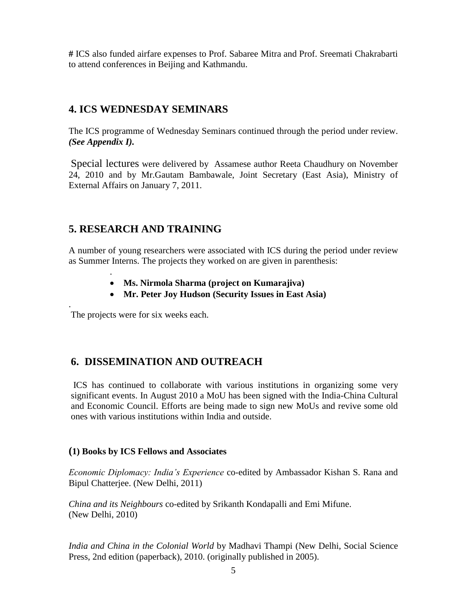**#** ICS also funded airfare expenses to Prof. Sabaree Mitra and Prof. Sreemati Chakrabarti to attend conferences in Beijing and Kathmandu.

### **4. ICS WEDNESDAY SEMINARS**

The ICS programme of Wednesday Seminars continued through the period under review. *(See Appendix I).* 

Special lectures were delivered by Assamese author Reeta Chaudhury on November 24, 2010 and by Mr.Gautam Bambawale, Joint Secretary (East Asia), Ministry of External Affairs on January 7, 2011.

# **5. RESEARCH AND TRAINING**

A number of young researchers were associated with ICS during the period under review as Summer Interns. The projects they worked on are given in parenthesis:

- **Ms. Nirmola Sharma (project on Kumarajiva)**
- **Mr. Peter Joy Hudson (Security Issues in East Asia)**

The projects were for six weeks each.

.

.

# **6. DISSEMINATION AND OUTREACH**

ICS has continued to collaborate with various institutions in organizing some very significant events. In August 2010 a MoU has been signed with the India-China Cultural and Economic Council. Efforts are being made to sign new MoUs and revive some old ones with various institutions within India and outside.

#### **(1) Books by ICS Fellows and Associates**

*Economic Diplomacy: India's Experience* co-edited by Ambassador Kishan S. Rana and Bipul Chatterjee. (New Delhi, 2011)

*China and its Neighbours* co-edited by Srikanth Kondapalli and Emi Mifune. (New Delhi, 2010)

*India and China in the Colonial World* by Madhavi Thampi (New Delhi, Social Science Press, 2nd edition (paperback), 2010. (originally published in 2005).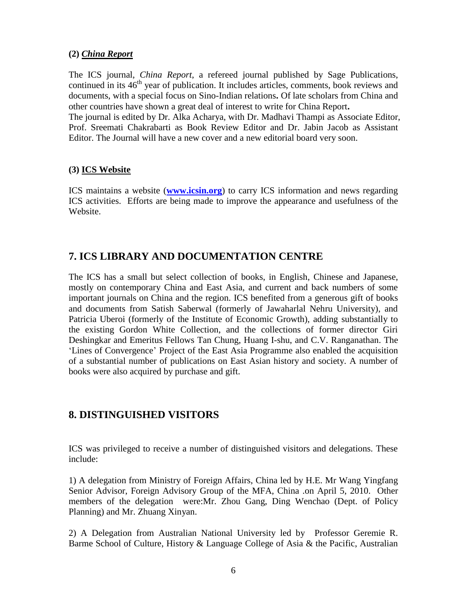#### **(2)** *China Report*

The ICS journal, *China Report*, a refereed journal published by Sage Publications, continued in its 46<sup>th</sup> year of publication. It includes articles, comments, book reviews and documents, with a special focus on Sino-Indian relations**.** Of late scholars from China and other countries have shown a great deal of interest to write for China Report**.** The journal is edited by Dr. Alka Acharya, with Dr. Madhavi Thampi as Associate Editor, Prof. Sreemati Chakrabarti as Book Review Editor and Dr. Jabin Jacob as Assistant

Editor. The Journal will have a new cover and a new editorial board very soon.

#### **(3) ICS Website**

ICS maintains a website (**[www.icsin.org](http://www.icsin.org/)**) to carry ICS information and news regarding ICS activities. Efforts are being made to improve the appearance and usefulness of the Website.

# **7. ICS LIBRARY AND DOCUMENTATION CENTRE**

The ICS has a small but select collection of books, in English, Chinese and Japanese, mostly on contemporary China and East Asia, and current and back numbers of some important journals on China and the region. ICS benefited from a generous gift of books and documents from Satish Saberwal (formerly of Jawaharlal Nehru University), and Patricia Uberoi (formerly of the Institute of Economic Growth), adding substantially to the existing Gordon White Collection, and the collections of former director Giri Deshingkar and Emeritus Fellows Tan Chung, Huang I-shu, and C.V. Ranganathan. The 'Lines of Convergence' Project of the East Asia Programme also enabled the acquisition of a substantial number of publications on East Asian history and society. A number of books were also acquired by purchase and gift.

### **8. DISTINGUISHED VISITORS**

ICS was privileged to receive a number of distinguished visitors and delegations. These include:

1) A delegation from Ministry of Foreign Affairs, China led by H.E. Mr Wang Yingfang Senior Advisor, Foreign Advisory Group of the MFA, China .on April 5, 2010. Other members of the delegation were:Mr. Zhou Gang, Ding Wenchao (Dept. of Policy Planning) and Mr. Zhuang Xinyan.

2) A Delegation from Australian National University led by Professor Geremie R. Barme School of Culture, History & Language College of Asia & the Pacific, Australian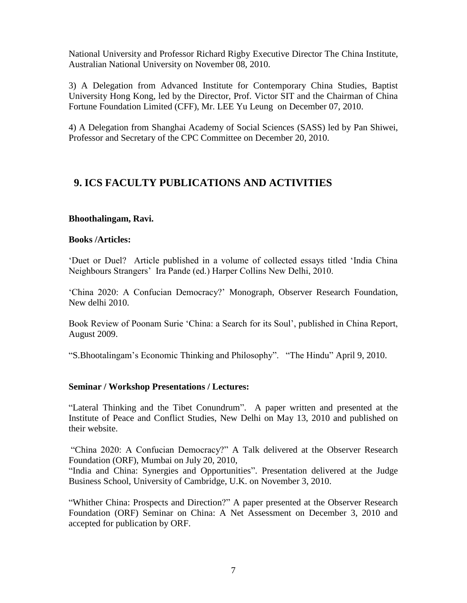National University and Professor Richard Rigby Executive Director The China Institute, Australian National University on November 08, 2010.

3) A Delegation from Advanced Institute for Contemporary China Studies, Baptist University Hong Kong, led by the Director, Prof. Victor SIT and the Chairman of China Fortune Foundation Limited (CFF), Mr. LEE Yu Leung on December 07, 2010.

4) A Delegation from Shanghai Academy of Social Sciences (SASS) led by Pan Shiwei, Professor and Secretary of the CPC Committee on December 20, 2010.

### **9. ICS FACULTY PUBLICATIONS AND ACTIVITIES**

#### **Bhoothalingam, Ravi.**

#### **Books /Articles:**

"Duet or Duel? Article published in a volume of collected essays titled "India China Neighbours Strangers" Ira Pande (ed.) Harper Collins New Delhi, 2010.

"China 2020: A Confucian Democracy?" Monograph*,* Observer Research Foundation, New delhi 2010.

Book Review of Poonam Surie "China: a Search for its Soul", published in China Report, August 2009.

"S.Bhootalingam"s Economic Thinking and Philosophy". "The Hindu" April 9, 2010.

#### **Seminar / Workshop Presentations / Lectures:**

"Lateral Thinking and the Tibet Conundrum". A paper written and presented at the Institute of Peace and Conflict Studies, New Delhi on May 13, 2010 and published on their website.

"China 2020: A Confucian Democracy?" A Talk delivered at the Observer Research Foundation (ORF), Mumbai on July 20, 2010,

"India and China: Synergies and Opportunities". Presentation delivered at the Judge Business School, University of Cambridge, U.K. on November 3, 2010.

"Whither China: Prospects and Direction?" A paper presented at the Observer Research Foundation (ORF) Seminar on China: A Net Assessment on December 3, 2010 and accepted for publication by ORF.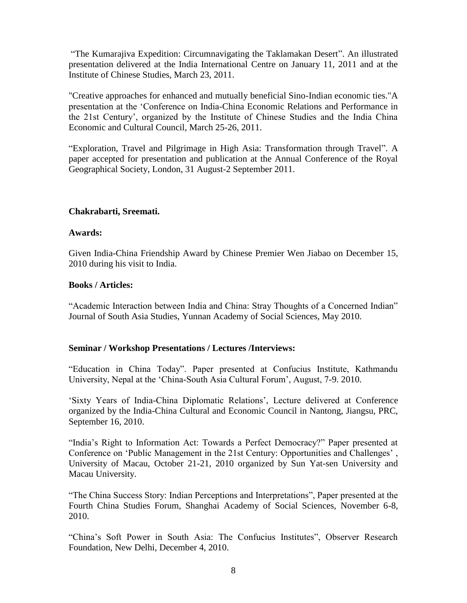"The Kumarajiva Expedition: Circumnavigating the Taklamakan Desert". An illustrated presentation delivered at the India International Centre on January 11, 2011 and at the Institute of Chinese Studies, March 23, 2011.

"Creative approaches for enhanced and mutually beneficial Sino-Indian economic ties."A presentation at the "Conference on India-China Economic Relations and Performance in the 21st Century", organized by the Institute of Chinese Studies and the India China Economic and Cultural Council, March 25-26, 2011.

"Exploration, Travel and Pilgrimage in High Asia: Transformation through Travel". A paper accepted for presentation and publication at the Annual Conference of the Royal Geographical Society, London, 31 August-2 September 2011.

#### **Chakrabarti, Sreemati.**

#### **Awards:**

Given India-China Friendship Award by Chinese Premier Wen Jiabao on December 15, 2010 during his visit to India.

#### **Books / Articles:**

"Academic Interaction between India and China: Stray Thoughts of a Concerned Indian" Journal of South Asia Studies, Yunnan Academy of Social Sciences, May 2010.

#### **Seminar / Workshop Presentations / Lectures /Interviews:**

"Education in China Today". Paper presented at Confucius Institute, Kathmandu University, Nepal at the "China-South Asia Cultural Forum", August, 7-9. 2010.

"Sixty Years of India-China Diplomatic Relations", Lecture delivered at Conference organized by the India-China Cultural and Economic Council in Nantong, Jiangsu, PRC, September 16, 2010.

"India"s Right to Information Act: Towards a Perfect Democracy?" Paper presented at Conference on "Public Management in the 21st Century: Opportunities and Challenges" , University of Macau, October 21-21, 2010 organized by Sun Yat-sen University and Macau University.

"The China Success Story: Indian Perceptions and Interpretations", Paper presented at the Fourth China Studies Forum, Shanghai Academy of Social Sciences, November 6-8, 2010.

"China"s Soft Power in South Asia: The Confucius Institutes", Observer Research Foundation, New Delhi, December 4, 2010.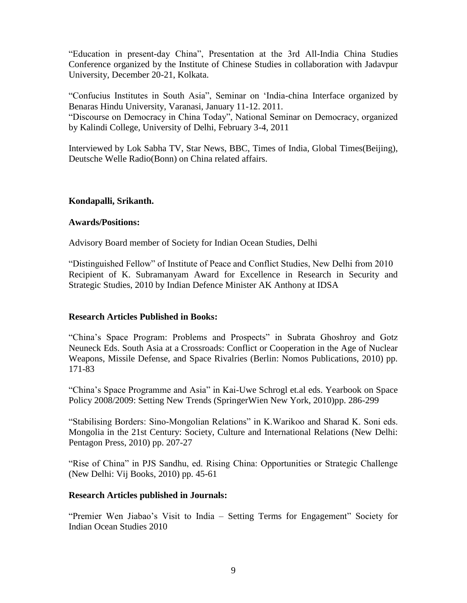"Education in present-day China", Presentation at the 3rd All-India China Studies Conference organized by the Institute of Chinese Studies in collaboration with Jadavpur University, December 20-21, Kolkata.

"Confucius Institutes in South Asia", Seminar on "India-china Interface organized by Benaras Hindu University, Varanasi, January 11-12. 2011.

"Discourse on Democracy in China Today", National Seminar on Democracy, organized by Kalindi College, University of Delhi, February 3-4, 2011

Interviewed by Lok Sabha TV, Star News, BBC, Times of India, Global Times(Beijing), Deutsche Welle Radio(Bonn) on China related affairs.

#### **Kondapalli, Srikanth.**

#### **Awards/Positions:**

Advisory Board member of Society for Indian Ocean Studies, Delhi

"Distinguished Fellow" of Institute of Peace and Conflict Studies, New Delhi from 2010 Recipient of K. Subramanyam Award for Excellence in Research in Security and Strategic Studies, 2010 by Indian Defence Minister AK Anthony at IDSA

#### **Research Articles Published in Books:**

"China"s Space Program: Problems and Prospects" in Subrata Ghoshroy and Gotz Neuneck Eds. South Asia at a Crossroads: Conflict or Cooperation in the Age of Nuclear Weapons, Missile Defense, and Space Rivalries (Berlin: Nomos Publications, 2010) pp. 171-83

"China"s Space Programme and Asia" in Kai-Uwe Schrogl et.al eds. Yearbook on Space Policy 2008/2009: Setting New Trends (SpringerWien New York, 2010)pp. 286-299

"Stabilising Borders: Sino-Mongolian Relations" in K.Warikoo and Sharad K. Soni eds. Mongolia in the 21st Century: Society, Culture and International Relations (New Delhi: Pentagon Press, 2010) pp. 207-27

"Rise of China" in PJS Sandhu, ed. Rising China: Opportunities or Strategic Challenge (New Delhi: Vij Books, 2010) pp. 45-61

#### **Research Articles published in Journals:**

"Premier Wen Jiabao"s Visit to India – Setting Terms for Engagement" Society for Indian Ocean Studies 2010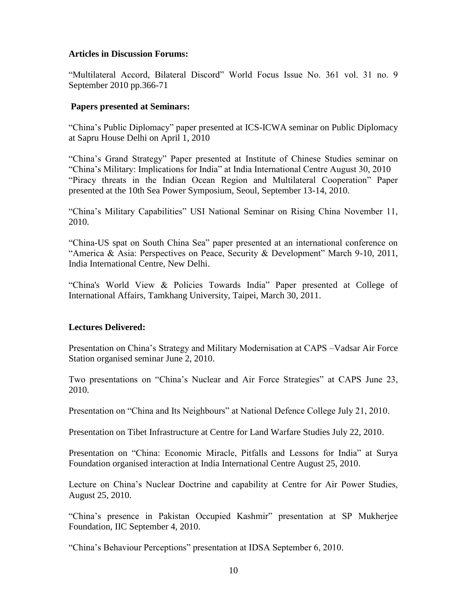#### **Articles in Discussion Forums:**

"Multilateral Accord, Bilateral Discord" World Focus Issue No. 361 vol. 31 no. 9 September 2010 pp.366-71

#### **Papers presented at Seminars:**

"China"s Public Diplomacy" paper presented at ICS-ICWA seminar on Public Diplomacy at Sapru House Delhi on April 1, 2010

"China"s Grand Strategy" Paper presented at Institute of Chinese Studies seminar on "China"s Military: Implications for India" at India International Centre August 30, 2010 "Piracy threats in the Indian Ocean Region and Multilateral Cooperation" Paper presented at the 10th Sea Power Symposium, Seoul, September 13-14, 2010.

"China"s Military Capabilities" USI National Seminar on Rising China November 11, 2010.

"China-US spat on South China Sea" paper presented at an international conference on "America & Asia: Perspectives on Peace, Security & Development" March 9-10, 2011, India International Centre, New Delhi.

"China's World View & Policies Towards India" Paper presented at College of International Affairs, Tamkhang University, Taipei, March 30, 2011.

#### **Lectures Delivered:**

Presentation on China"s Strategy and Military Modernisation at CAPS –Vadsar Air Force Station organised seminar June 2, 2010.

Two presentations on "China"s Nuclear and Air Force Strategies" at CAPS June 23, 2010.

Presentation on "China and Its Neighbours" at National Defence College July 21, 2010.

Presentation on Tibet Infrastructure at Centre for Land Warfare Studies July 22, 2010.

Presentation on "China: Economic Miracle, Pitfalls and Lessons for India" at Surya Foundation organised interaction at India International Centre August 25, 2010.

Lecture on China"s Nuclear Doctrine and capability at Centre for Air Power Studies, August 25, 2010.

"China"s presence in Pakistan Occupied Kashmir" presentation at SP Mukherjee Foundation, IIC September 4, 2010.

"China"s Behaviour Perceptions" presentation at IDSA September 6, 2010.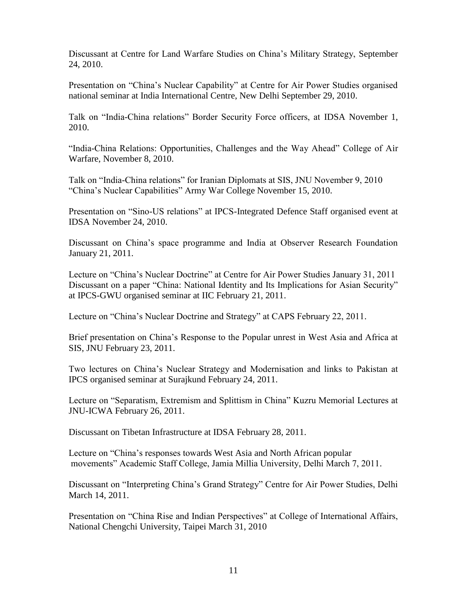Discussant at Centre for Land Warfare Studies on China"s Military Strategy, September 24, 2010.

Presentation on "China"s Nuclear Capability" at Centre for Air Power Studies organised national seminar at India International Centre, New Delhi September 29, 2010.

Talk on "India-China relations" Border Security Force officers, at IDSA November 1, 2010.

"India-China Relations: Opportunities, Challenges and the Way Ahead" College of Air Warfare, November 8, 2010.

Talk on "India-China relations" for Iranian Diplomats at SIS, JNU November 9, 2010 "China"s Nuclear Capabilities" Army War College November 15, 2010.

Presentation on "Sino-US relations" at IPCS-Integrated Defence Staff organised event at IDSA November 24, 2010.

Discussant on China"s space programme and India at Observer Research Foundation January 21, 2011.

Lecture on "China"s Nuclear Doctrine" at Centre for Air Power Studies January 31, 2011 Discussant on a paper "China: National Identity and Its Implications for Asian Security" at IPCS-GWU organised seminar at IIC February 21, 2011.

Lecture on "China"s Nuclear Doctrine and Strategy" at CAPS February 22, 2011.

Brief presentation on China"s Response to the Popular unrest in West Asia and Africa at SIS, JNU February 23, 2011.

Two lectures on China"s Nuclear Strategy and Modernisation and links to Pakistan at IPCS organised seminar at Surajkund February 24, 2011.

Lecture on "Separatism, Extremism and Splittism in China" Kuzru Memorial Lectures at JNU-ICWA February 26, 2011.

Discussant on Tibetan Infrastructure at IDSA February 28, 2011.

Lecture on "China"s responses towards West Asia and North African popular movements" Academic Staff College, Jamia Millia University, Delhi March 7, 2011.

Discussant on "Interpreting China"s Grand Strategy" Centre for Air Power Studies, Delhi March 14, 2011.

Presentation on "China Rise and Indian Perspectives" at College of International Affairs, National Chengchi University, Taipei March 31, 2010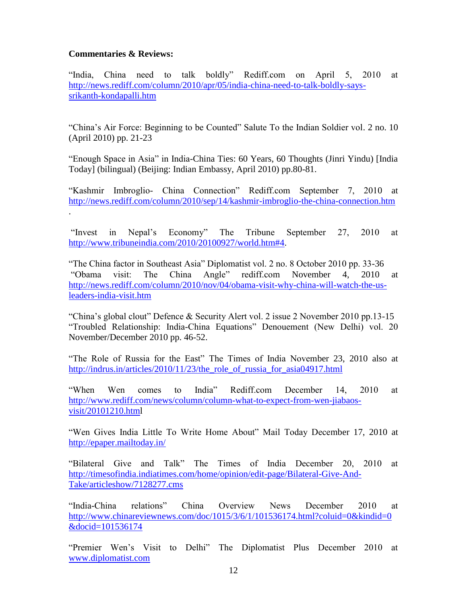#### **Commentaries & Reviews:**

"India, China need to talk boldly" Rediff.com on April 5, 2010 at [http://news.rediff.com/column/2010/apr/05/india-china-need-to-talk-boldly-says](http://news.rediff.com/column/2010/apr/05/india-china-need-to-talk-boldly-says-srikanth-kondapalli.htm)[srikanth-kondapalli.htm](http://news.rediff.com/column/2010/apr/05/india-china-need-to-talk-boldly-says-srikanth-kondapalli.htm)

"China"s Air Force: Beginning to be Counted" Salute To the Indian Soldier vol. 2 no. 10 (April 2010) pp. 21-23

"Enough Space in Asia" in India-China Ties: 60 Years, 60 Thoughts (Jinri Yindu) [India Today] (bilingual) (Beijing: Indian Embassy, April 2010) pp.80-81.

"Kashmir Imbroglio- China Connection" Rediff.com September 7, 2010 at <http://news.rediff.com/column/2010/sep/14/kashmir-imbroglio-the-china-connection.htm> .

"Invest in Nepal"s Economy" The Tribune September 27, 2010 at [http://www.tribuneindia.com/2010/20100927/world.htm#4.](http://www.tribuneindia.com/2010/20100927/world.htm#4)

"The China factor in Southeast Asia" Diplomatist vol. 2 no. 8 October 2010 pp. 33-36 "Obama visit: The China Angle" rediff.com November 4, 2010 at [http://news.rediff.com/column/2010/nov/04/obama-visit-why-china-will-watch-the-us](http://news.rediff.com/column/2010/nov/04/obama-visit-why-china-will-watch-the-us-leaders-india-visit.htm)[leaders-india-visit.htm](http://news.rediff.com/column/2010/nov/04/obama-visit-why-china-will-watch-the-us-leaders-india-visit.htm) 

"China"s global clout" Defence & Security Alert vol. 2 issue 2 November 2010 pp.13-15 "Troubled Relationship: India-China Equations" Denouement (New Delhi) vol. 20 November/December 2010 pp. 46-52.

"The Role of Russia for the East" The Times of India November 23, 2010 also at [http://indrus.in/articles/2010/11/23/the\\_role\\_of\\_russia\\_for\\_asia04917.html](http://indrus.in/articles/2010/11/23/the_role_of_russia_for_asia04917.html)

"When Wen comes to India" Rediff.com December 14, 2010 at [http://www.rediff.com/news/column/column-what-to-expect-from-wen-jiabaos](http://www.rediff.com/news/column/column-what-to-expect-from-wen-jiabaos-visit/20101210.htm)[visit/20101210.html](http://www.rediff.com/news/column/column-what-to-expect-from-wen-jiabaos-visit/20101210.htm)

"Wen Gives India Little To Write Home About" Mail Today December 17, 2010 at <http://epaper.mailtoday.in/>

"Bilateral Give and Talk" The Times of India December 20, 2010 at [http://timesofindia.indiatimes.com/home/opinion/edit-page/Bilateral-Give-And-](http://timesofindia.indiatimes.com/home/opinion/edit-page/Bilateral-Give-And-Take/articleshow/7128277.cms)[Take/articleshow/7128277.cms](http://timesofindia.indiatimes.com/home/opinion/edit-page/Bilateral-Give-And-Take/articleshow/7128277.cms)

"India-China relations" China Overview News December 2010 at [http://www.chinareviewnews.com/doc/1015/3/6/1/101536174.html?coluid=0&kindid=0](http://www.chinareviewnews.com/doc/1015/3/6/1/101536174.html?coluid=0&kindid=0&docid=101536174) [&docid=101536174](http://www.chinareviewnews.com/doc/1015/3/6/1/101536174.html?coluid=0&kindid=0&docid=101536174)

"Premier Wen"s Visit to Delhi" The Diplomatist Plus December 2010 at [www.diplomatist.com](http://www.diplomatist.com/)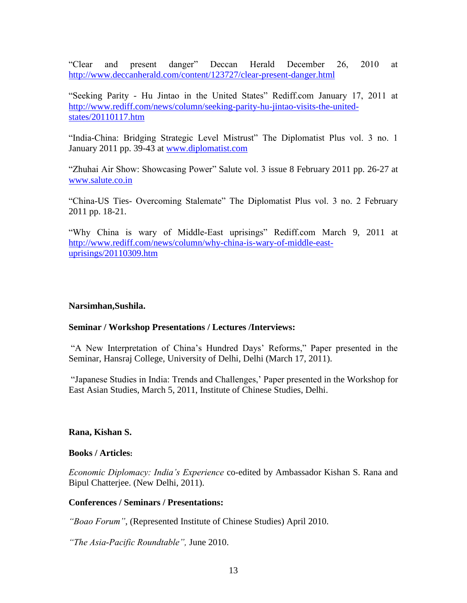"Clear and present danger" Deccan Herald December 26, 2010 at <http://www.deccanherald.com/content/123727/clear-present-danger.html>

"Seeking Parity - Hu Jintao in the United States" Rediff.com January 17, 2011 at [http://www.rediff.com/news/column/seeking-parity-hu-jintao-visits-the-united](http://www.rediff.com/news/column/seeking-parity-hu-jintao-visits-the-united-states/20110117.htm)[states/20110117.htm](http://www.rediff.com/news/column/seeking-parity-hu-jintao-visits-the-united-states/20110117.htm) 

"India-China: Bridging Strategic Level Mistrust" The Diplomatist Plus vol. 3 no. 1 January 2011 pp. 39-43 at [www.diplomatist.com](http://www.diplomatist.com/)

"Zhuhai Air Show: Showcasing Power" Salute vol. 3 issue 8 February 2011 pp. 26-27 at [www.salute.co.in](http://www.salute.co.in/)

"China-US Ties- Overcoming Stalemate" The Diplomatist Plus vol. 3 no. 2 February 2011 pp. 18-21.

"Why China is wary of Middle-East uprisings" Rediff.com March 9, 2011 at [http://www.rediff.com/news/column/why-china-is-wary-of-middle-east](http://www.rediff.com/news/column/why-china-is-wary-of-middle-east-uprisings/20110309.htm)[uprisings/20110309.htm](http://www.rediff.com/news/column/why-china-is-wary-of-middle-east-uprisings/20110309.htm)

#### **Narsimhan,Sushila.**

#### **Seminar / Workshop Presentations / Lectures /Interviews:**

"A New Interpretation of China"s Hundred Days" Reforms," Paper presented in the Seminar, Hansraj College, University of Delhi, Delhi (March 17, 2011).

"Japanese Studies in India: Trends and Challenges," Paper presented in the Workshop for East Asian Studies, March 5, 2011, Institute of Chinese Studies, Delhi.

#### **Rana, Kishan S.**

#### **Books / Articles:**

*Economic Diplomacy: India's Experience* co-edited by Ambassador Kishan S. Rana and Bipul Chatterjee. (New Delhi, 2011).

#### **Conferences / Seminars / Presentations:**

*"Boao Forum"*, (Represented Institute of Chinese Studies) April 2010.

*"The Asia-Pacific Roundtable",* June 2010.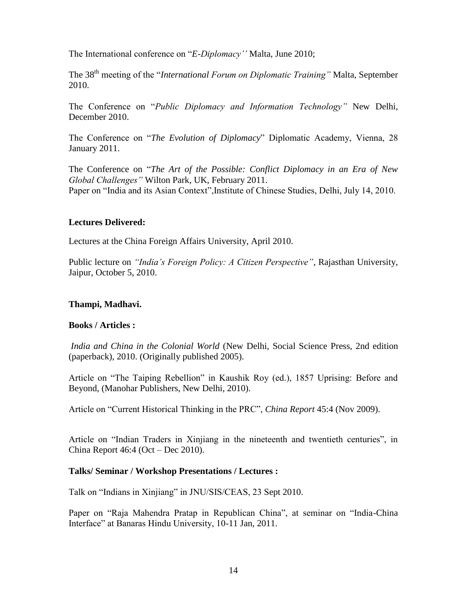The International conference on "*E-Diplomacy''* Malta, June 2010;

The 38th meeting of the "*International Forum on Diplomatic Training"* Malta, September 2010.

The Conference on "*Public Diplomacy and Information Technology"* New Delhi, December 2010.

The Conference on "*The Evolution of Diplomacy*" Diplomatic Academy, Vienna, 28 January 2011.

The Conference on "*The Art of the Possible: Conflict Diplomacy in an Era of New Global Challenges"* Wilton Park, UK, February 2011. Paper on "India and its Asian Context",Institute of Chinese Studies, Delhi, July 14, 2010.

#### **Lectures Delivered:**

Lectures at the China Foreign Affairs University, April 2010.

Public lecture on *"India's Foreign Policy: A Citizen Perspective"*, Rajasthan University, Jaipur, October 5, 2010.

#### **Thampi, Madhavi.**

#### **Books / Articles :**

*India and China in the Colonial World* (New Delhi, Social Science Press, 2nd edition (paperback), 2010. (Originally published 2005).

Article on "The Taiping Rebellion" in Kaushik Roy (ed.), 1857 Uprising: Before and Beyond, (Manohar Publishers, New Delhi, 2010).

Article on "Current Historical Thinking in the PRC", *China Report* 45:4 (Nov 2009).

Article on "Indian Traders in Xinjiang in the nineteenth and twentieth centuries", in China Report 46:4 (Oct – Dec 2010).

#### **Talks/ Seminar / Workshop Presentations / Lectures :**

Talk on "Indians in Xinjiang" in JNU/SIS/CEAS, 23 Sept 2010.

Paper on "Raja Mahendra Pratap in Republican China", at seminar on "India-China Interface" at Banaras Hindu University, 10-11 Jan, 2011.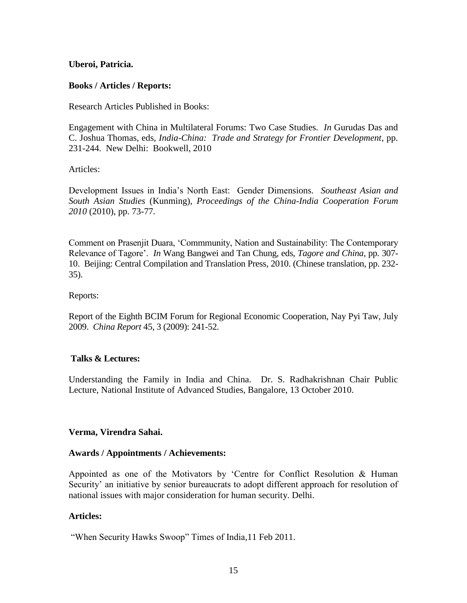#### **Uberoi, Patricia.**

#### **Books / Articles / Reports:**

Research Articles Published in Books:

Engagement with China in Multilateral Forums: Two Case Studies. *In* Gurudas Das and C. Joshua Thomas, eds, *India-China: Trade and Strategy for Frontier Development*, pp. 231-244.New Delhi: Bookwell, 2010

Articles:

Development Issues in India"s North East: Gender Dimensions. *Southeast Asian and South Asian Studies* (Kunming), *Proceedings of the China-India Cooperation Forum 2010* (2010), pp. 73-77*.*

Comment on Prasenjit Duara, "Commmunity, Nation and Sustainability: The Contemporary Relevance of Tagore". *In* Wang Bangwei and Tan Chung, eds, *Tagore and China*, pp. 307- 10. Beijing: Central Compilation and Translation Press, 2010. (Chinese translation, pp. 232- 35).

#### Reports:

Report of the Eighth BCIM Forum for Regional Economic Cooperation, Nay Pyi Taw, July 2009. *China Report* 45, 3 (2009): 241-52.

#### **Talks & Lectures:**

Understanding the Family in India and China. Dr. S. Radhakrishnan Chair Public Lecture, National Institute of Advanced Studies, Bangalore, 13 October 2010.

#### **Verma, Virendra Sahai.**

#### **Awards / Appointments / Achievements:**

Appointed as one of the Motivators by "Centre for Conflict Resolution & Human Security' an initiative by senior bureaucrats to adopt different approach for resolution of national issues with major consideration for human security. Delhi.

#### **Articles:**

"When Security Hawks Swoop" Times of India,11 Feb 2011.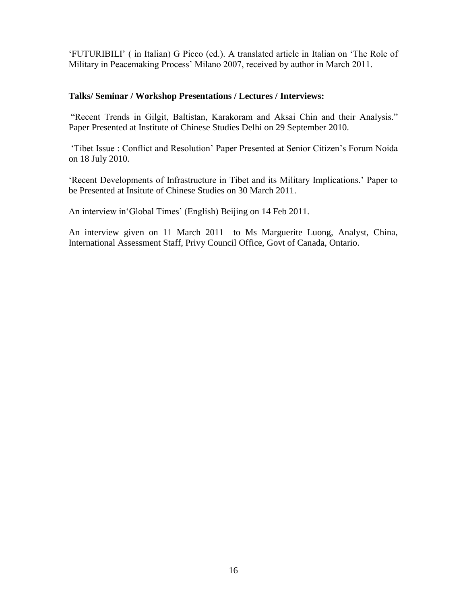"FUTURIBILI" ( in Italian) G Picco (ed.). A translated article in Italian on "The Role of Military in Peacemaking Process" Milano 2007, received by author in March 2011.

#### **Talks/ Seminar / Workshop Presentations / Lectures / Interviews:**

"Recent Trends in Gilgit, Baltistan, Karakoram and Aksai Chin and their Analysis." Paper Presented at Institute of Chinese Studies Delhi on 29 September 2010.

"Tibet Issue : Conflict and Resolution" Paper Presented at Senior Citizen"s Forum Noida on 18 July 2010.

"Recent Developments of Infrastructure in Tibet and its Military Implications." Paper to be Presented at Insitute of Chinese Studies on 30 March 2011.

An interview in Global Times' (English) Beijing on 14 Feb 2011.

An interview given on 11 March 2011 to Ms Marguerite Luong, Analyst, China, International Assessment Staff, Privy Council Office, Govt of Canada, Ontario.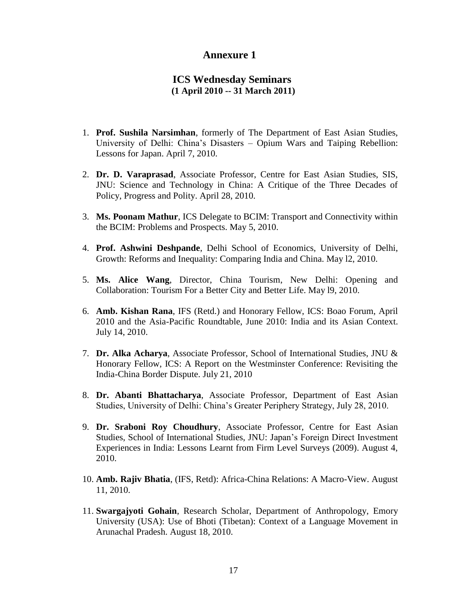#### **Annexure 1**

#### **ICS Wednesday Seminars (1 April 2010 -- 31 March 2011)**

- 1. **Prof. Sushila Narsimhan**, formerly of The Department of East Asian Studies, University of Delhi: China"s Disasters – Opium Wars and Taiping Rebellion: Lessons for Japan. April 7, 2010.
- 2. **Dr. D. Varaprasad**, Associate Professor, Centre for East Asian Studies, SIS, JNU: Science and Technology in China: A Critique of the Three Decades of Policy, Progress and Polity. April 28, 2010.
- 3. **Ms. Poonam Mathur**, ICS Delegate to BCIM: Transport and Connectivity within the BCIM: Problems and Prospects. May 5, 2010.
- 4. **Prof. Ashwini Deshpande**, Delhi School of Economics, University of Delhi, Growth: Reforms and Inequality: Comparing India and China. May l2, 2010.
- 5. **Ms. Alice Wang**, Director, China Tourism, New Delhi: Opening and Collaboration: Tourism For a Better City and Better Life. May l9, 2010.
- 6. **Amb. Kishan Rana**, IFS (Retd.) and Honorary Fellow, ICS: Boao Forum, April 2010 and the Asia-Pacific Roundtable, June 2010: India and its Asian Context. July 14, 2010.
- 7. **Dr. Alka Acharya**, Associate Professor, School of International Studies, JNU & Honorary Fellow, ICS: A Report on the Westminster Conference: Revisiting the India-China Border Dispute. July 21, 2010
- 8. **Dr. Abanti Bhattacharya**, Associate Professor, Department of East Asian Studies, University of Delhi: China"s Greater Periphery Strategy, July 28, 2010.
- 9. **Dr. Sraboni Roy Choudhury**, Associate Professor, Centre for East Asian Studies, School of International Studies, JNU: Japan"s Foreign Direct Investment Experiences in India: Lessons Learnt from Firm Level Surveys (2009). August 4, 2010.
- 10. **Amb. Rajiv Bhatia**, (IFS, Retd): Africa-China Relations: A Macro-View. August 11, 2010.
- 11. **Swargajyoti Gohain**, Research Scholar, Department of Anthropology, Emory University (USA): Use of Bhoti (Tibetan): Context of a Language Movement in Arunachal Pradesh. August 18, 2010.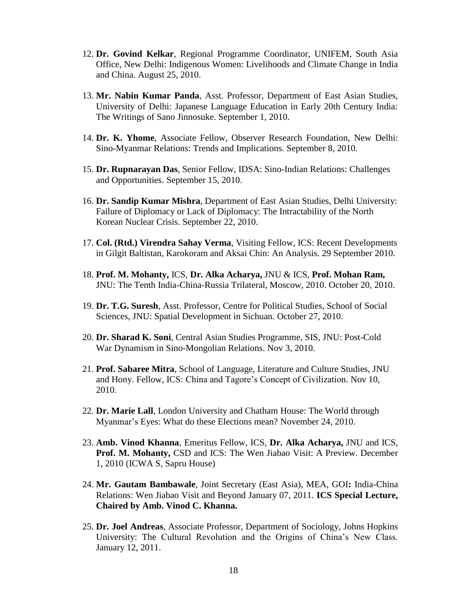- 12. **Dr. Govind Kelkar**, Regional Programme Coordinator, UNIFEM, South Asia Office, New Delhi: Indigenous Women: Livelihoods and Climate Change in India and China. August 25, 2010.
- 13. **Mr. Nabin Kumar Panda**, Asst. Professor, Department of East Asian Studies, University of Delhi: Japanese Language Education in Early 20th Century India: The Writings of Sano Jinnosuke. September 1, 2010.
- 14. **Dr. K. Yhome**, Associate Fellow, Observer Research Foundation, New Delhi: Sino-Myanmar Relations: Trends and Implications. September 8, 2010.
- 15. **Dr. Rupnarayan Das**, Senior Fellow, IDSA: Sino-Indian Relations: Challenges and Opportunities. September 15, 2010.
- 16. **Dr. Sandip Kumar Mishra**, Department of East Asian Studies, Delhi University: Failure of Diplomacy or Lack of Diplomacy: The Intractability of the North Korean Nuclear Crisis. September 22, 2010.
- 17. **Col. (Rtd.) Virendra Sahay Verma**, Visiting Fellow, ICS: Recent Developments in Gilgit Baltistan, Karokoram and Aksai Chin: An Analysis. 29 September 2010.
- 18. **Prof. M. Mohanty,** ICS, **Dr. Alka Acharya,** JNU & ICS, **Prof. Mohan Ram,** JNU: The Tenth India-China-Russia Trilateral, Moscow, 2010. October 20, 2010.
- 19. **Dr. T.G. Suresh**, Asst. Professor, Centre for Political Studies, School of Social Sciences, JNU: Spatial Development in Sichuan. October 27, 2010.
- 20. **Dr. Sharad K. Soni**, Central Asian Studies Programme, SIS, JNU: Post-Cold War Dynamism in Sino-Mongolian Relations. Nov 3, 2010.
- 21. **Prof. Sabaree Mitra**, School of Language, Literature and Culture Studies, JNU and Hony. Fellow, ICS: China and Tagore"s Concept of Civilization. Nov 10, 2010.
- 22. **Dr. Marie Lall**, London University and Chatham House: The World through Myanmar"s Eyes: What do these Elections mean? November 24, 2010.
- 23. **Amb. Vinod Khanna**, Emeritus Fellow, ICS, **Dr. Alka Acharya,** JNU and ICS, **Prof. M. Mohanty,** CSD and ICS: The Wen Jiabao Visit: A Preview. December 1, 2010 (ICWA S, Sapru House)
- 24. **Mr. Gautam Bambawale**, Joint Secretary (East Asia), MEA, GOI**:** India-China Relations: Wen Jiabao Visit and Beyond January 07, 2011. **ICS Special Lecture, Chaired by Amb. Vinod C. Khanna.**
- 25. **Dr. Joel Andreas**, Associate Professor, Department of Sociology, Johns Hopkins University: The Cultural Revolution and the Origins of China"s New Class. January 12, 2011.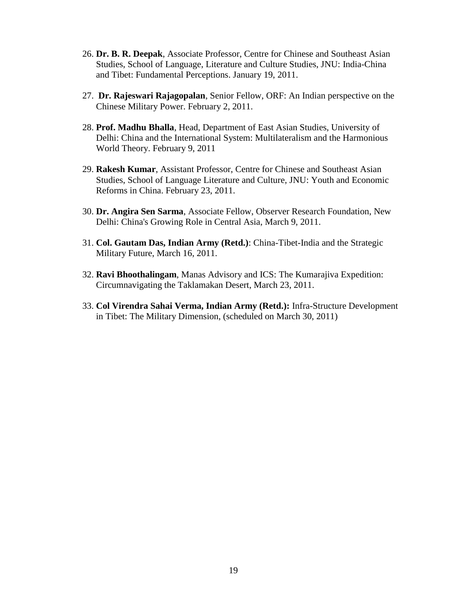- 26. **Dr. B. R. Deepak**, Associate Professor, Centre for Chinese and Southeast Asian Studies, School of Language, Literature and Culture Studies, JNU: India-China and Tibet: Fundamental Perceptions. January 19, 2011.
- 27. **Dr. Rajeswari Rajagopalan**, Senior Fellow, ORF: An Indian perspective on the Chinese Military Power. February 2, 2011.
- 28. **Prof. Madhu Bhalla**, Head, Department of East Asian Studies, University of Delhi: China and the International System: Multilateralism and the Harmonious World Theory. February 9, 2011
- 29. **Rakesh Kumar**, Assistant Professor, Centre for Chinese and Southeast Asian Studies, School of Language Literature and Culture, JNU: Youth and Economic Reforms in China. February 23, 2011.
- 30. **Dr. Angira Sen Sarma**, Associate Fellow, Observer Research Foundation, New Delhi: China's Growing Role in Central Asia, March 9, 2011.
- 31. **Col. Gautam Das, Indian Army (Retd.)**: China-Tibet-India and the Strategic Military Future, March 16, 2011.
- 32. **Ravi Bhoothalingam**, Manas Advisory and ICS: The Kumarajiva Expedition: Circumnavigating the Taklamakan Desert, March 23, 2011.
- 33. **Col Virendra Sahai Verma, Indian Army (Retd.):** Infra-Structure Development in Tibet: The Military Dimension, (scheduled on March 30, 2011)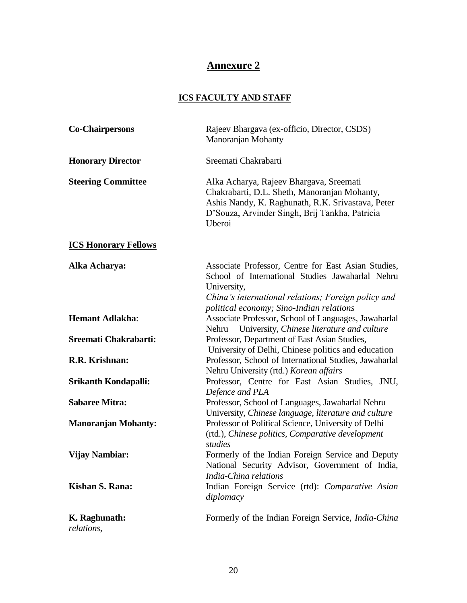# **Annexure 2**

# **ICS FACULTY AND STAFF**

| <b>Co-Chairpersons</b>      | Rajeev Bhargava (ex-officio, Director, CSDS)<br>Manoranjan Mohanty                                                                                                                                                        |
|-----------------------------|---------------------------------------------------------------------------------------------------------------------------------------------------------------------------------------------------------------------------|
| <b>Honorary Director</b>    | Sreemati Chakrabarti                                                                                                                                                                                                      |
| <b>Steering Committee</b>   | Alka Acharya, Rajeev Bhargava, Sreemati<br>Chakrabarti, D.L. Sheth, Manoranjan Mohanty,<br>Ashis Nandy, K. Raghunath, R.K. Srivastava, Peter<br>D'Souza, Arvinder Singh, Brij Tankha, Patricia<br>Uberoi                  |
| <b>ICS Honorary Fellows</b> |                                                                                                                                                                                                                           |
| Alka Acharya:               | Associate Professor, Centre for East Asian Studies,<br>School of International Studies Jawaharlal Nehru<br>University,<br>China's international relations; Foreign policy and<br>political economy; Sino-Indian relations |
| <b>Hemant Adlakha:</b>      | Associate Professor, School of Languages, Jawaharlal<br>Nehru University, Chinese literature and culture                                                                                                                  |
| Sreemati Chakrabarti:       | Professor, Department of East Asian Studies,<br>University of Delhi, Chinese politics and education                                                                                                                       |
| R.R. Krishnan:              | Professor, School of International Studies, Jawaharlal<br>Nehru University (rtd.) Korean affairs                                                                                                                          |
| Srikanth Kondapalli:        | Professor, Centre for East Asian Studies, JNU,<br>Defence and PLA                                                                                                                                                         |
| <b>Sabaree Mitra:</b>       | Professor, School of Languages, Jawaharlal Nehru<br>University, Chinese language, literature and culture                                                                                                                  |
| <b>Manoranjan Mohanty:</b>  | Professor of Political Science, University of Delhi<br>(rtd.), Chinese politics, Comparative development<br>studies                                                                                                       |
| <b>Vijay Nambiar:</b>       | Formerly of the Indian Foreign Service and Deputy<br>National Security Advisor, Government of India,<br>India-China relations                                                                                             |
| Kishan S. Rana:             | Indian Foreign Service (rtd): Comparative Asian<br>diplomacy                                                                                                                                                              |
| K. Raghunath:<br>relations, | Formerly of the Indian Foreign Service, <i>India-China</i>                                                                                                                                                                |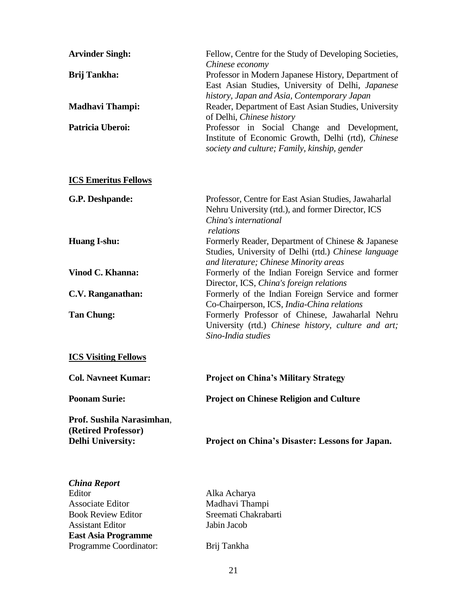| Fellow, Centre for the Study of Developing Societies,<br>Chinese economy<br>Professor in Modern Japanese History, Department of<br>East Asian Studies, University of Delhi, Japanese<br>history, Japan and Asia, Contemporary Japan<br>Reader, Department of East Asian Studies, University<br>of Delhi, Chinese history<br>Professor in Social Change and Development,<br>Institute of Economic Growth, Delhi (rtd), Chinese<br>society and culture; Family, kinship, gender |  |  |  |
|-------------------------------------------------------------------------------------------------------------------------------------------------------------------------------------------------------------------------------------------------------------------------------------------------------------------------------------------------------------------------------------------------------------------------------------------------------------------------------|--|--|--|
|                                                                                                                                                                                                                                                                                                                                                                                                                                                                               |  |  |  |
| Professor, Centre for East Asian Studies, Jawaharlal<br>Nehru University (rtd.), and former Director, ICS<br>China's international<br>relations                                                                                                                                                                                                                                                                                                                               |  |  |  |
| Formerly Reader, Department of Chinese & Japanese<br>Studies, University of Delhi (rtd.) Chinese language<br>and literature; Chinese Minority areas                                                                                                                                                                                                                                                                                                                           |  |  |  |
| Formerly of the Indian Foreign Service and former<br>Director, ICS, China's foreign relations                                                                                                                                                                                                                                                                                                                                                                                 |  |  |  |
| Formerly of the Indian Foreign Service and former<br>Co-Chairperson, ICS, India-China relations<br>Formerly Professor of Chinese, Jawaharlal Nehru<br>University (rtd.) Chinese history, culture and art;<br>Sino-India studies                                                                                                                                                                                                                                               |  |  |  |
| <b>ICS Visiting Fellows</b>                                                                                                                                                                                                                                                                                                                                                                                                                                                   |  |  |  |
| <b>Project on China's Military Strategy</b>                                                                                                                                                                                                                                                                                                                                                                                                                                   |  |  |  |
| <b>Project on Chinese Religion and Culture</b>                                                                                                                                                                                                                                                                                                                                                                                                                                |  |  |  |
| <b>Project on China's Disaster: Lessons for Japan.</b>                                                                                                                                                                                                                                                                                                                                                                                                                        |  |  |  |
| Alka Acharya<br>Madhavi Thampi<br>Sreemati Chakrabarti<br>Jabin Jacob                                                                                                                                                                                                                                                                                                                                                                                                         |  |  |  |
|                                                                                                                                                                                                                                                                                                                                                                                                                                                                               |  |  |  |

Programme Coordinator: Brij Tankha